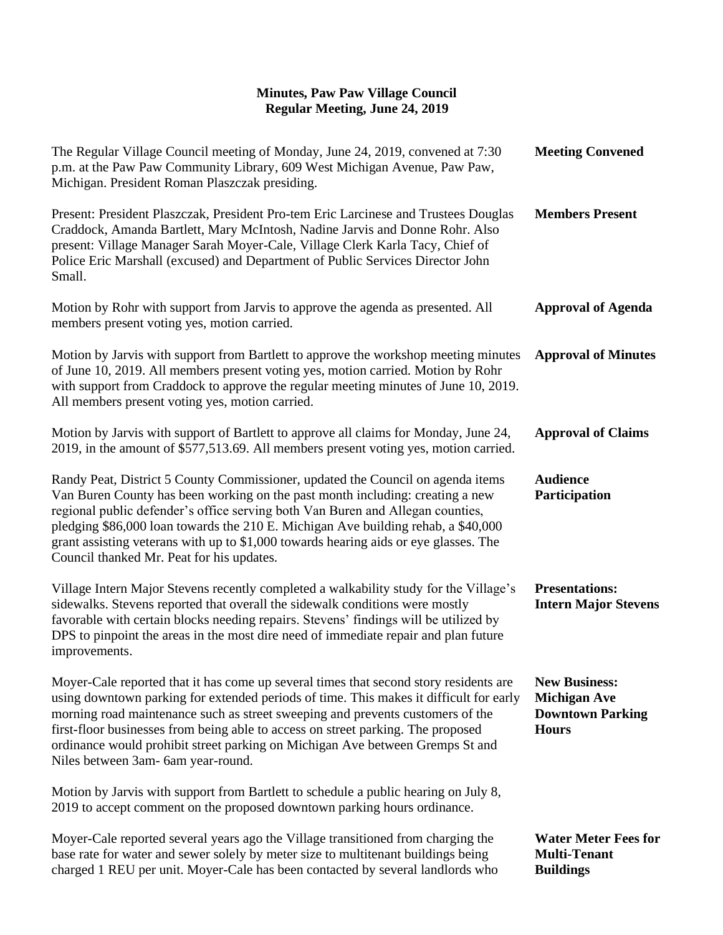| The Regular Village Council meeting of Monday, June 24, 2019, convened at 7:30<br>p.m. at the Paw Paw Community Library, 609 West Michigan Avenue, Paw Paw,<br>Michigan. President Roman Plaszczak presiding.                                                                                                                                                                                                                                                                | <b>Meeting Convened</b>                                                                |
|------------------------------------------------------------------------------------------------------------------------------------------------------------------------------------------------------------------------------------------------------------------------------------------------------------------------------------------------------------------------------------------------------------------------------------------------------------------------------|----------------------------------------------------------------------------------------|
| Present: President Plaszczak, President Pro-tem Eric Larcinese and Trustees Douglas<br>Craddock, Amanda Bartlett, Mary McIntosh, Nadine Jarvis and Donne Rohr. Also<br>present: Village Manager Sarah Moyer-Cale, Village Clerk Karla Tacy, Chief of<br>Police Eric Marshall (excused) and Department of Public Services Director John<br>Small.                                                                                                                             | <b>Members Present</b>                                                                 |
| Motion by Rohr with support from Jarvis to approve the agenda as presented. All<br>members present voting yes, motion carried.                                                                                                                                                                                                                                                                                                                                               | <b>Approval of Agenda</b>                                                              |
| Motion by Jarvis with support from Bartlett to approve the workshop meeting minutes<br>of June 10, 2019. All members present voting yes, motion carried. Motion by Rohr<br>with support from Craddock to approve the regular meeting minutes of June 10, 2019.<br>All members present voting yes, motion carried.                                                                                                                                                            | <b>Approval of Minutes</b>                                                             |
| Motion by Jarvis with support of Bartlett to approve all claims for Monday, June 24,<br>2019, in the amount of \$577,513.69. All members present voting yes, motion carried.                                                                                                                                                                                                                                                                                                 | <b>Approval of Claims</b>                                                              |
| Randy Peat, District 5 County Commissioner, updated the Council on agenda items<br>Van Buren County has been working on the past month including: creating a new<br>regional public defender's office serving both Van Buren and Allegan counties,<br>pledging \$86,000 loan towards the 210 E. Michigan Ave building rehab, a \$40,000<br>grant assisting veterans with up to \$1,000 towards hearing aids or eye glasses. The<br>Council thanked Mr. Peat for his updates. | <b>Audience</b><br>Participation                                                       |
| Village Intern Major Stevens recently completed a walkability study for the Village's<br>sidewalks. Stevens reported that overall the sidewalk conditions were mostly<br>favorable with certain blocks needing repairs. Stevens' findings will be utilized by<br>DPS to pinpoint the areas in the most dire need of immediate repair and plan future<br>improvements.                                                                                                        | <b>Presentations:</b><br><b>Intern Major Stevens</b>                                   |
| Moyer-Cale reported that it has come up several times that second story residents are<br>using downtown parking for extended periods of time. This makes it difficult for early<br>morning road maintenance such as street sweeping and prevents customers of the<br>first-floor businesses from being able to access on street parking. The proposed<br>ordinance would prohibit street parking on Michigan Ave between Gremps St and<br>Niles between 3am- 6am year-round. | <b>New Business:</b><br><b>Michigan Ave</b><br><b>Downtown Parking</b><br><b>Hours</b> |
| Motion by Jarvis with support from Bartlett to schedule a public hearing on July 8,<br>2019 to accept comment on the proposed downtown parking hours ordinance.                                                                                                                                                                                                                                                                                                              |                                                                                        |
| Moyer-Cale reported several years ago the Village transitioned from charging the<br>base rate for water and sewer solely by meter size to multitenant buildings being<br>charged 1 REU per unit. Moyer-Cale has been contacted by several landlords who                                                                                                                                                                                                                      | <b>Water Meter Fees for</b><br><b>Multi-Tenant</b><br><b>Buildings</b>                 |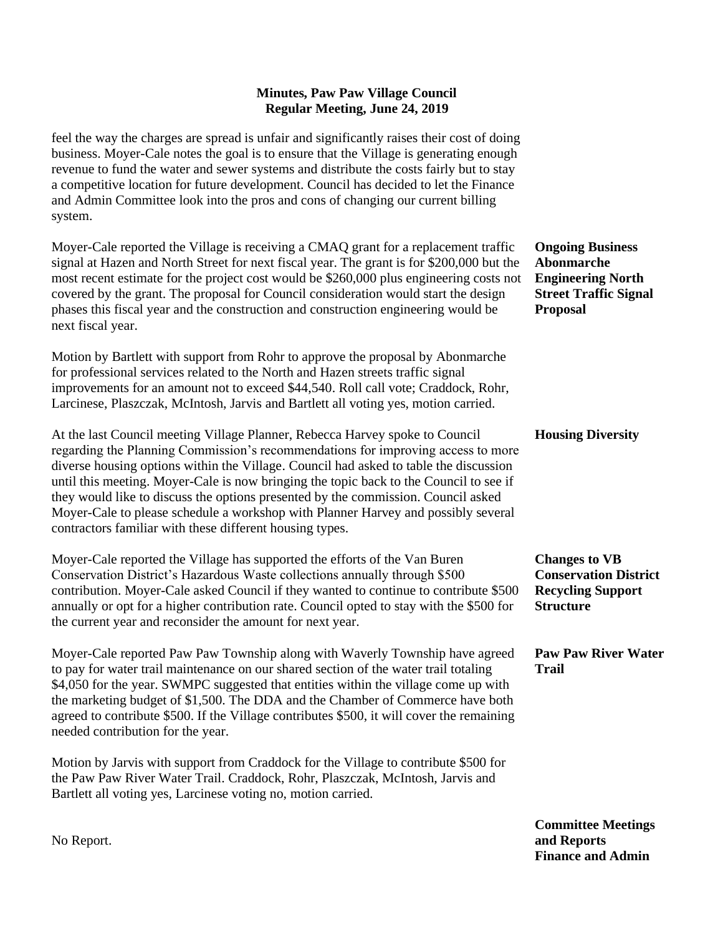feel the way the charges are spread is unfair and significantly raises their cost of doing business. Moyer-Cale notes the goal is to ensure that the Village is generating enough revenue to fund the water and sewer systems and distribute the costs fairly but to stay a competitive location for future development. Council has decided to let the Finance and Admin Committee look into the pros and cons of changing our current billing system.

Moyer-Cale reported the Village is receiving a CMAQ grant for a replacement traffic signal at Hazen and North Street for next fiscal year. The grant is for \$200,000 but the most recent estimate for the project cost would be \$260,000 plus engineering costs not covered by the grant. The proposal for Council consideration would start the design phases this fiscal year and the construction and construction engineering would be next fiscal year.

Motion by Bartlett with support from Rohr to approve the proposal by Abonmarche for professional services related to the North and Hazen streets traffic signal improvements for an amount not to exceed \$44,540. Roll call vote; Craddock, Rohr, Larcinese, Plaszczak, McIntosh, Jarvis and Bartlett all voting yes, motion carried.

At the last Council meeting Village Planner, Rebecca Harvey spoke to Council regarding the Planning Commission's recommendations for improving access to more diverse housing options within the Village. Council had asked to table the discussion until this meeting. Moyer-Cale is now bringing the topic back to the Council to see if they would like to discuss the options presented by the commission. Council asked Moyer-Cale to please schedule a workshop with Planner Harvey and possibly several contractors familiar with these different housing types.

Moyer-Cale reported the Village has supported the efforts of the Van Buren Conservation District's Hazardous Waste collections annually through \$500 contribution. Moyer-Cale asked Council if they wanted to continue to contribute \$500 annually or opt for a higher contribution rate. Council opted to stay with the \$500 for the current year and reconsider the amount for next year.

Moyer-Cale reported Paw Paw Township along with Waverly Township have agreed to pay for water trail maintenance on our shared section of the water trail totaling \$4,050 for the year. SWMPC suggested that entities within the village come up with the marketing budget of \$1,500. The DDA and the Chamber of Commerce have both agreed to contribute \$500. If the Village contributes \$500, it will cover the remaining needed contribution for the year.

Motion by Jarvis with support from Craddock for the Village to contribute \$500 for the Paw Paw River Water Trail. Craddock, Rohr, Plaszczak, McIntosh, Jarvis and Bartlett all voting yes, Larcinese voting no, motion carried.

**Ongoing Business Abonmarche Engineering North Street Traffic Signal Proposal**

**Housing Diversity**

**Changes to VB Conservation District Recycling Support Structure**

**Paw Paw River Water Trail**

**Committee Meetings and Reports Finance and Admin**

No Report.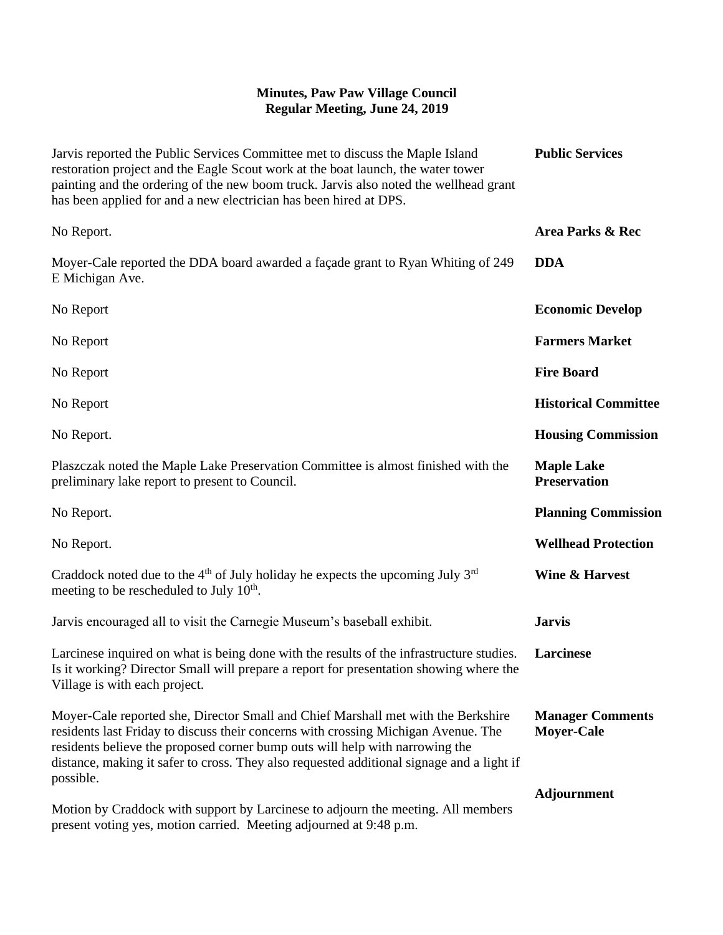| Jarvis reported the Public Services Committee met to discuss the Maple Island<br>restoration project and the Eagle Scout work at the boat launch, the water tower<br>painting and the ordering of the new boom truck. Jarvis also noted the wellhead grant<br>has been applied for and a new electrician has been hired at DPS.                                   | <b>Public Services</b>                       |
|-------------------------------------------------------------------------------------------------------------------------------------------------------------------------------------------------------------------------------------------------------------------------------------------------------------------------------------------------------------------|----------------------------------------------|
| No Report.                                                                                                                                                                                                                                                                                                                                                        | Area Parks & Rec                             |
| Moyer-Cale reported the DDA board awarded a façade grant to Ryan Whiting of 249<br>E Michigan Ave.                                                                                                                                                                                                                                                                | <b>DDA</b>                                   |
| No Report                                                                                                                                                                                                                                                                                                                                                         | <b>Economic Develop</b>                      |
| No Report                                                                                                                                                                                                                                                                                                                                                         | <b>Farmers Market</b>                        |
| No Report                                                                                                                                                                                                                                                                                                                                                         | <b>Fire Board</b>                            |
| No Report                                                                                                                                                                                                                                                                                                                                                         | <b>Historical Committee</b>                  |
| No Report.                                                                                                                                                                                                                                                                                                                                                        | <b>Housing Commission</b>                    |
| Plaszczak noted the Maple Lake Preservation Committee is almost finished with the<br>preliminary lake report to present to Council.                                                                                                                                                                                                                               | <b>Maple Lake</b><br><b>Preservation</b>     |
| No Report.                                                                                                                                                                                                                                                                                                                                                        | <b>Planning Commission</b>                   |
| No Report.                                                                                                                                                                                                                                                                                                                                                        | <b>Wellhead Protection</b>                   |
| Craddock noted due to the $4th$ of July holiday he expects the upcoming July $3rd$<br>meeting to be rescheduled to July 10 <sup>th</sup> .                                                                                                                                                                                                                        | <b>Wine &amp; Harvest</b>                    |
| Jarvis encouraged all to visit the Carnegie Museum's baseball exhibit.                                                                                                                                                                                                                                                                                            | <b>Jarvis</b>                                |
| Larcinese inquired on what is being done with the results of the infrastructure studies.<br>Is it working? Director Small will prepare a report for presentation showing where the<br>Village is with each project.                                                                                                                                               | Larcinese                                    |
| Moyer-Cale reported she, Director Small and Chief Marshall met with the Berkshire<br>residents last Friday to discuss their concerns with crossing Michigan Avenue. The<br>residents believe the proposed corner bump outs will help with narrowing the<br>distance, making it safer to cross. They also requested additional signage and a light if<br>possible. | <b>Manager Comments</b><br><b>Moyer-Cale</b> |
| Motion by Craddock with support by Larcinese to adjourn the meeting. All members<br>present voting yes, motion carried. Meeting adjourned at 9:48 p.m.                                                                                                                                                                                                            | <b>Adjournment</b>                           |